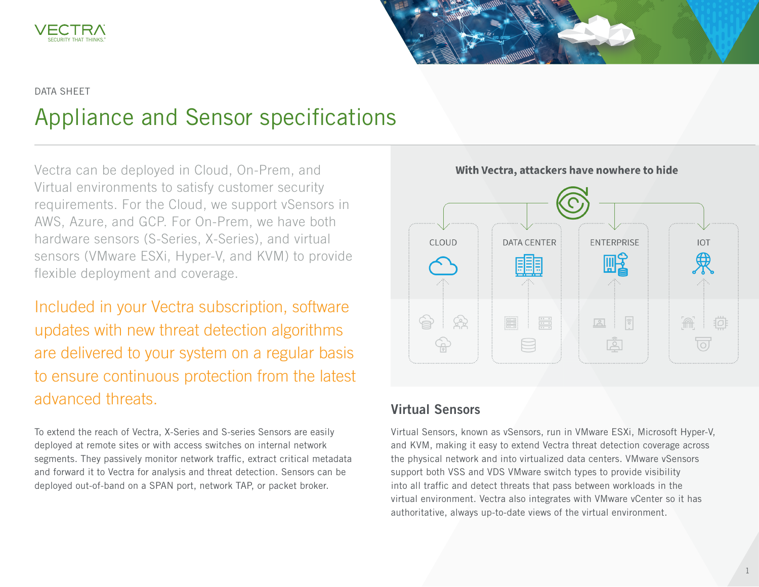



#### DATA SHEET

# Appliance and Sensor specifications

Vectra can be deployed in Cloud, On-Prem, and Virtual environments to satisfy customer security requirements. For the Cloud, we support vSensors in AWS, Azure, and GCP. For On-Prem, we have both hardware sensors (S-Series, X-Series), and virtual sensors (VMware ESXi, Hyper-V, and KVM) to provide flexible deployment and coverage.

Included in your Vectra subscription, software updates with new threat detection algorithms are delivered to your system on a regular basis to ensure continuous protection from the latest advanced threats.

To extend the reach of Vectra, X-Series and S-series Sensors are easily deployed at remote sites or with access switches on internal network segments. They passively monitor network traffic, extract critical metadata and forward it to Vectra for analysis and threat detection. Sensors can be deployed out-of-band on a SPAN port, network TAP, or packet broker.



# Virtual Sensors

Virtual Sensors, known as vSensors, run in VMware ESXi, Microsoft Hyper-V, and KVM, making it easy to extend Vectra threat detection coverage across the physical network and into virtualized data centers. VMware vSensors support both VSS and VDS VMware switch types to provide visibility into all traffic and detect threats that pass between workloads in the virtual environment. Vectra also integrates with VMware vCenter so it has authoritative, always up-to-date views of the virtual environment.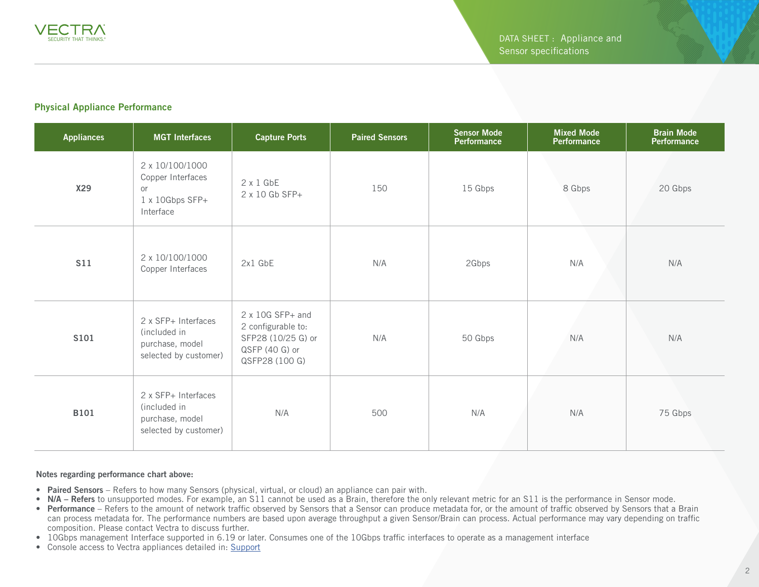#### Physical Appliance Performance

| <b>Appliances</b> | <b>MGT</b> Interfaces                                                           | <b>Capture Ports</b>                                                                                    | <b>Paired Sensors</b> | <b>Sensor Mode</b><br>Performance | <b>Mixed Mode</b><br><b>Performance</b> | <b>Brain Mode</b><br>Performance |
|-------------------|---------------------------------------------------------------------------------|---------------------------------------------------------------------------------------------------------|-----------------------|-----------------------------------|-----------------------------------------|----------------------------------|
| <b>X29</b>        | 2 x 10/100/1000<br>Copper Interfaces<br>or<br>1 x 10Gbps SFP+<br>Interface      | $2 \times 1$ GbE<br>2 x 10 Gb SFP+                                                                      | 150                   | 15 Gbps                           | 8 Gbps                                  | 20 Gbps                          |
| <b>S11</b>        | 2 x 10/100/1000<br>Copper Interfaces                                            | 2x1 GbE                                                                                                 | N/A                   | 2Gbps                             | N/A                                     | N/A                              |
| <b>S101</b>       | 2 x SFP+ Interfaces<br>(included in<br>purchase, model<br>selected by customer) | $2 \times 10G$ SFP+ and<br>2 configurable to:<br>SFP28 (10/25 G) or<br>QSFP (40 G) or<br>QSFP28 (100 G) | N/A                   | 50 Gbps                           | N/A                                     | N/A                              |
| <b>B101</b>       | 2 x SFP+ Interfaces<br>(included in<br>purchase, model<br>selected by customer) | N/A                                                                                                     | 500                   | N/A                               | N/A                                     | 75 Gbps                          |

#### Notes regarding performance chart above:

- Paired Sensors Refers to how many Sensors (physical, virtual, or cloud) an appliance can pair with.
- N/A Refers to unsupported modes. For example, an S11 cannot be used as a Brain, therefore the only relevant metric for an S11 is the performance in Sensor mode.
- Performance Refers to the amount of network traffic observed by Sensors that a Sensor can produce metadata for, or the amount of traffic observed by Sensors that a Brain can process metadata for. The performance numbers are based upon average throughput a given Sensor/Brain can process. Actual performance may vary depending on traffic composition. Please contact Vectra to discuss further.
- 10Gbps management Interface supported in 6.19 or later. Consumes one of the 10Gbps traffic interfaces to operate as a management interface
- Console access to Vectra appliances detailed in: [Support](https://support.vectra.ai/s/article/KB-VS-1153)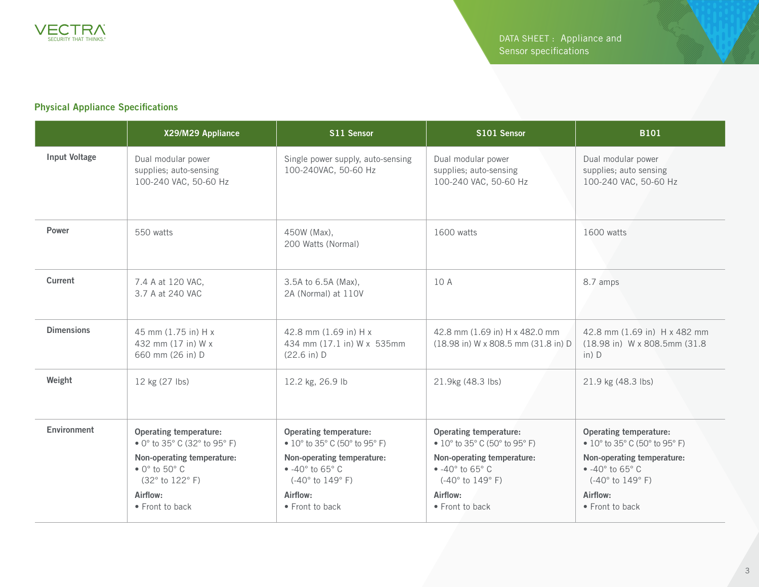

### Physical Appliance Specifications

|                   | X29/M29 Appliance                                                                                                                                                                                                                  | S11 Sensor                                                                                                                                                                                                          | S101 Sensor                                                                                                                                                                                                                              | <b>B101</b>                                                                                                                                                                                                                                       |
|-------------------|------------------------------------------------------------------------------------------------------------------------------------------------------------------------------------------------------------------------------------|---------------------------------------------------------------------------------------------------------------------------------------------------------------------------------------------------------------------|------------------------------------------------------------------------------------------------------------------------------------------------------------------------------------------------------------------------------------------|---------------------------------------------------------------------------------------------------------------------------------------------------------------------------------------------------------------------------------------------------|
| Input Voltage     | Dual modular power<br>supplies; auto-sensing<br>100-240 VAC, 50-60 Hz                                                                                                                                                              | Single power supply, auto-sensing<br>100-240VAC, 50-60 Hz                                                                                                                                                           | Dual modular power<br>supplies; auto-sensing<br>100-240 VAC, 50-60 Hz                                                                                                                                                                    | Dual modular power<br>supplies; auto sensing<br>100-240 VAC, 50-60 Hz                                                                                                                                                                             |
| Power             | 550 watts                                                                                                                                                                                                                          | 450W (Max),<br>200 Watts (Normal)                                                                                                                                                                                   | 1600 watts                                                                                                                                                                                                                               | 1600 watts                                                                                                                                                                                                                                        |
| Current           | 7.4 A at 120 VAC,<br>3.7 A at 240 VAC                                                                                                                                                                                              | 3.5A to 6.5A (Max),<br>2A (Normal) at 110V                                                                                                                                                                          | 10 A                                                                                                                                                                                                                                     | 8.7 amps                                                                                                                                                                                                                                          |
| <b>Dimensions</b> | 45 mm (1.75 in) H x<br>432 mm (17 in) W x<br>660 mm (26 in) D                                                                                                                                                                      | 42.8 mm (1.69 in) H x<br>434 mm (17.1 in) W x 535mm<br>$(22.6 \text{ in}) D$                                                                                                                                        | 42.8 mm (1.69 in) H x 482.0 mm<br>(18.98 in) W x 808.5 mm (31.8 in) D                                                                                                                                                                    | 42.8 mm (1.69 in) H x 482 mm<br>(18.98 in) W x 808.5mm (31.8)<br>$in)$ D                                                                                                                                                                          |
| Weight            | 12 kg (27 lbs)                                                                                                                                                                                                                     | 12.2 kg, 26.9 lb                                                                                                                                                                                                    | 21.9kg (48.3 lbs)                                                                                                                                                                                                                        | 21.9 kg (48.3 lbs)                                                                                                                                                                                                                                |
| Environment       | <b>Operating temperature:</b><br>• 0 $^{\circ}$ to 35 $^{\circ}$ C (32 $^{\circ}$ to 95 $^{\circ}$ F)<br>Non-operating temperature:<br>$\bullet$ 0 $^{\circ}$ to 50 $^{\circ}$ C<br>(32° to 122° F)<br>Airflow:<br>• Front to back | <b>Operating temperature:</b><br>• $10^{\circ}$ to 35° C (50° to 95° F)<br>Non-operating temperature:<br>$\bullet$ -40 $\circ$ to 65 $\circ$ C<br>$(-40^{\circ}$ to $149^{\circ}$ F)<br>Airflow:<br>• Front to back | <b>Operating temperature:</b><br>• $10^{\circ}$ to 35 $^{\circ}$ C (50 $^{\circ}$ to 95 $^{\circ}$ F)<br>Non-operating temperature:<br>$-40^\circ$ to 65 $^\circ$ C<br>$(-40^{\circ}$ to $149^{\circ}$ F)<br>Airflow:<br>• Front to back | <b>Operating temperature:</b><br>• $10^{\circ}$ to 35 $^{\circ}$ C (50 $^{\circ}$ to 95 $^{\circ}$ F)<br>Non-operating temperature:<br>$\bullet$ -40 $\circ$ to 65 $\circ$ C<br>$(-40^{\circ}$ to $149^{\circ}$ F)<br>Airflow:<br>• Front to back |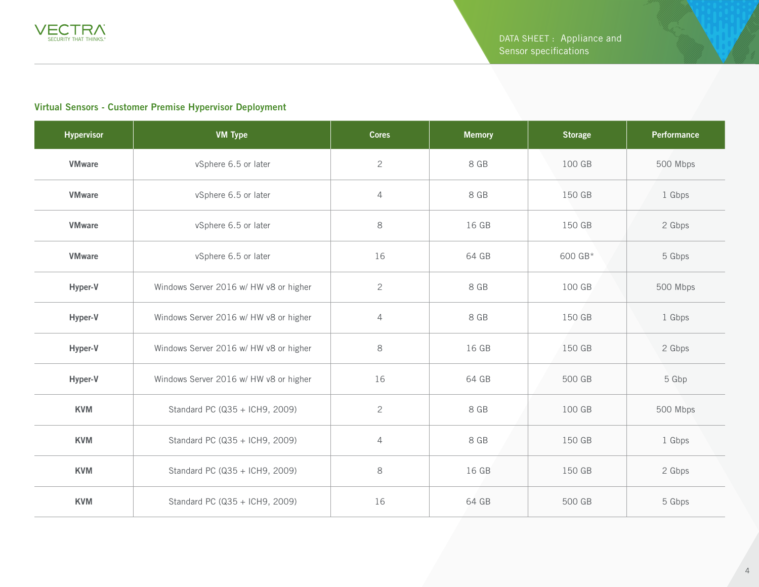

#### Virtual Sensors - Customer Premise Hypervisor Deployment

| <b>Hypervisor</b> | <b>VM Type</b>                         | <b>Cores</b>   | <b>Memory</b> | <b>Storage</b> | Performance |
|-------------------|----------------------------------------|----------------|---------------|----------------|-------------|
| <b>VMware</b>     | vSphere 6.5 or later                   | $\overline{c}$ | 8 GB          | 100 GB         | 500 Mbps    |
| <b>VMware</b>     | vSphere 6.5 or later                   | $\sqrt{4}$     | 8 GB          | 150 GB         | 1 Gbps      |
| <b>VMware</b>     | vSphere 6.5 or later                   | 8              | 16 GB         | 150 GB         | 2 Gbps      |
| <b>VMware</b>     | vSphere 6.5 or later                   | 16             | 64 GB         | 600 GB*        | 5 Gbps      |
| Hyper-V           | Windows Server 2016 w/ HW v8 or higher | $\mathbf{2}$   | 8 GB          | 100 GB         | 500 Mbps    |
| Hyper-V           | Windows Server 2016 w/ HW v8 or higher | $\overline{4}$ | 8 GB          | 150 GB         | 1 Gbps      |
| Hyper-V           | Windows Server 2016 w/ HW v8 or higher | 8              | 16 GB         | 150 GB         | 2 Gbps      |
| Hyper-V           | Windows Server 2016 w/ HW v8 or higher | 16             | 64 GB         | 500 GB         | 5 Gbp       |
| <b>KVM</b>        | Standard PC (Q35 + ICH9, 2009)         | $\overline{c}$ | 8 GB          | 100 GB         | 500 Mbps    |
| <b>KVM</b>        | Standard PC (Q35 + ICH9, 2009)         | 4              | 8 GB          | 150 GB         | 1 Gbps      |
| <b>KVM</b>        | Standard PC (Q35 + ICH9, 2009)         | $\,8\,$        | 16 GB         | 150 GB         | 2 Gbps      |
| <b>KVM</b>        | Standard PC (Q35 + ICH9, 2009)         | 16             | 64 GB         | 500 GB         | 5 Gbps      |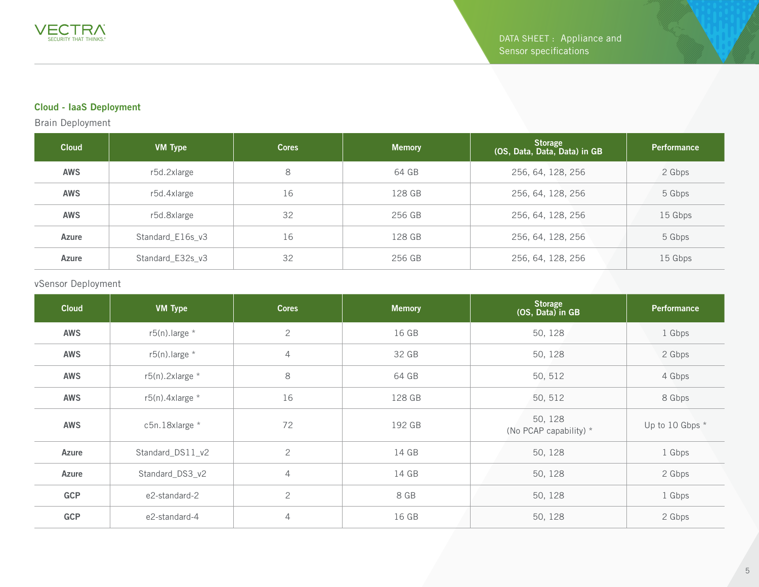## Cloud - IaaS Deployment

Brain Deployment

| <b>Cloud</b> | <b>VM Type</b>   | <b>Cores</b> | <b>Memory</b> | <b>Storage</b><br>(OS, Data, Data, Data) in GB | <b>Performance</b> |
|--------------|------------------|--------------|---------------|------------------------------------------------|--------------------|
| <b>AWS</b>   | r5d.2xlarge      | 8            | 64 GB         | 256, 64, 128, 256                              | 2 Gbps             |
| <b>AWS</b>   | r5d.4xlarge      | 16           | 128 GB        | 256, 64, 128, 256                              | 5 Gbps             |
| <b>AWS</b>   | r5d.8xlarge      | 32           | 256 GB        | 256, 64, 128, 256                              | 15 Gbps            |
| Azure        | Standard E16s v3 | 16           | 128 GB        | 256, 64, 128, 256                              | 5 Gbps             |
| Azure        | Standard_E32s_v3 | 32           | 256 GB        | 256, 64, 128, 256                              | 15 Gbps            |

#### vSensor Deployment

| <b>Cloud</b> | <b>VM Type</b>      | <b>Cores</b>   | <b>Memory</b> | Storage<br>(OS, Data) in GB       | <b>Performance</b> |
|--------------|---------------------|----------------|---------------|-----------------------------------|--------------------|
| <b>AWS</b>   | $r5(n)$ . large *   | $\mathbf{2}$   | 16 GB         | 50, 128                           | 1 Gbps             |
| <b>AWS</b>   | $r5(n)$ . large *   | $\overline{4}$ | 32 GB         | 50, 128                           | 2 Gbps             |
| <b>AWS</b>   | $r5(n)$ . 2xlarge * | 8              | 64 GB         | 50, 512                           | 4 Gbps             |
| <b>AWS</b>   | $r5(n)$ . 4xlarge * | 16             | 128 GB        | 50, 512                           | 8 Gbps             |
| <b>AWS</b>   | c5n.18xlarge *      | 72             | 192 GB        | 50, 128<br>(No PCAP capability) * | Up to 10 Gbps *    |
| Azure        | Standard_DS11_v2    | $\overline{2}$ | 14 GB         | 50, 128                           | 1 Gbps             |
| Azure        | Standard_DS3_v2     | $\overline{4}$ | 14 GB         | 50, 128                           | 2 Gbps             |
| <b>GCP</b>   | e2-standard-2       | $\overline{c}$ | 8 GB          | 50, 128                           | 1 Gbps             |
| <b>GCP</b>   | e2-standard-4       | $\overline{4}$ | 16 GB         | 50, 128                           | 2 Gbps             |